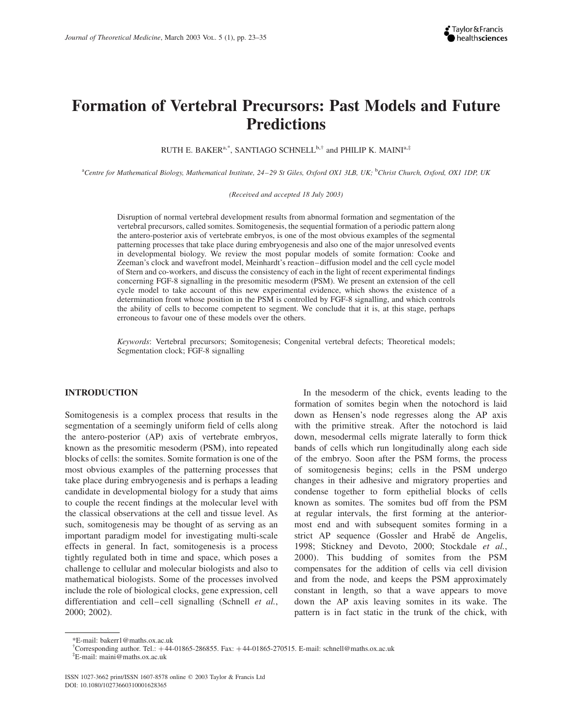# Formation of Vertebral Precursors: Past Models and Future **Predictions**

RUTH E. BAKER<sup>a,\*</sup>, SANTIAGO SCHNELL<sup>b,†</sup> and PHILIP K. MAINI<sup>a,‡</sup>

a<br>Centre for Mathematical Biology, Mathematical Institute, 24-29 St Giles, Oxford OX1 3LB, UK; <sup>b</sup>Christ Church, Oxford, OX1 1DP, UK

(Received and accepted 18 July 2003)

Disruption of normal vertebral development results from abnormal formation and segmentation of the vertebral precursors, called somites. Somitogenesis, the sequential formation of a periodic pattern along the antero-posterior axis of vertebrate embryos, is one of the most obvious examples of the segmental patterning processes that take place during embryogenesis and also one of the major unresolved events in developmental biology. We review the most popular models of somite formation: Cooke and Zeeman's clock and wavefront model, Meinhardt's reaction–diffusion model and the cell cycle model of Stern and co-workers, and discuss the consistency of each in the light of recent experimental findings concerning FGF-8 signalling in the presomitic mesoderm (PSM). We present an extension of the cell cycle model to take account of this new experimental evidence, which shows the existence of a determination front whose position in the PSM is controlled by FGF-8 signalling, and which controls the ability of cells to become competent to segment. We conclude that it is, at this stage, perhaps erroneous to favour one of these models over the others.

Keywords: Vertebral precursors; Somitogenesis; Congenital vertebral defects; Theoretical models; Segmentation clock; FGF-8 signalling

# INTRODUCTION

Somitogenesis is a complex process that results in the segmentation of a seemingly uniform field of cells along the antero-posterior (AP) axis of vertebrate embryos, known as the presomitic mesoderm (PSM), into repeated blocks of cells: the somites. Somite formation is one of the most obvious examples of the patterning processes that take place during embryogenesis and is perhaps a leading candidate in developmental biology for a study that aims to couple the recent findings at the molecular level with the classical observations at the cell and tissue level. As such, somitogenesis may be thought of as serving as an important paradigm model for investigating multi-scale effects in general. In fact, somitogenesis is a process tightly regulated both in time and space, which poses a challenge to cellular and molecular biologists and also to mathematical biologists. Some of the processes involved include the role of biological clocks, gene expression, cell differentiation and cell-cell signalling (Schnell et al., 2000; 2002).

In the mesoderm of the chick, events leading to the formation of somites begin when the notochord is laid down as Hensen's node regresses along the AP axis with the primitive streak. After the notochord is laid down, mesodermal cells migrate laterally to form thick bands of cells which run longitudinally along each side of the embryo. Soon after the PSM forms, the process of somitogenesis begins; cells in the PSM undergo changes in their adhesive and migratory properties and condense together to form epithelial blocks of cells known as somites. The somites bud off from the PSM at regular intervals, the first forming at the anteriormost end and with subsequent somites forming in a strict AP sequence (Gossler and Hrabĕ de Angelis, 1998; Stickney and Devoto, 2000; Stockdale et al., 2000). This budding of somites from the PSM compensates for the addition of cells via cell division and from the node, and keeps the PSM approximately constant in length, so that a wave appears to move down the AP axis leaving somites in its wake. The pattern is in fact static in the trunk of the chick, with

<sup>\*</sup>E-mail: bakerr1@maths.ox.ac.uk

<sup>&</sup>lt;sup>†</sup>Corresponding author. Tel.: +44-01865-286855. Fax: +44-01865-270515. E-mail: schnell@maths.ox.ac.uk<br><sup>‡E</sup> mail: maini@maths.ox.ac.uk

E-mail: maini@maths.ox.ac.uk

ISSN 1027-3662 print/ISSN 1607-8578 online q 2003 Taylor & Francis Ltd DOI: 10.1080/10273660310001628365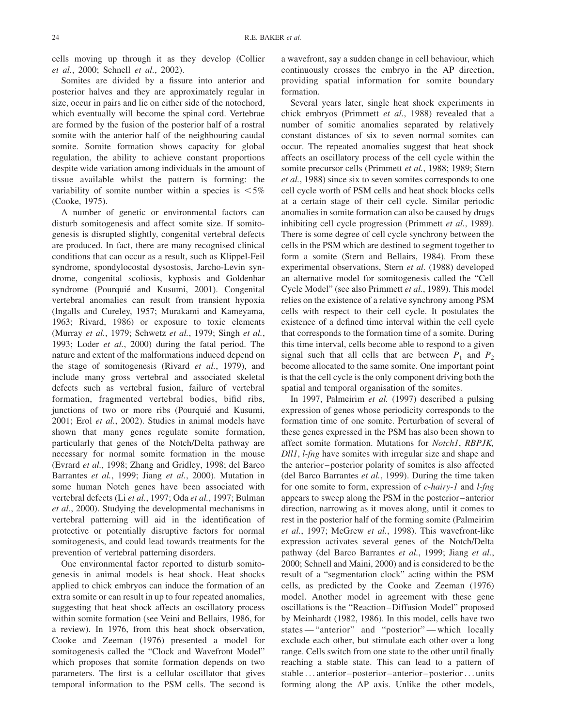cells moving up through it as they develop (Collier et al., 2000; Schnell et al., 2002).

Somites are divided by a fissure into anterior and posterior halves and they are approximately regular in size, occur in pairs and lie on either side of the notochord, which eventually will become the spinal cord. Vertebrae are formed by the fusion of the posterior half of a rostral somite with the anterior half of the neighbouring caudal somite. Somite formation shows capacity for global regulation, the ability to achieve constant proportions despite wide variation among individuals in the amount of tissue available whilst the pattern is forming: the variability of somite number within a species is  $\leq 5\%$ (Cooke, 1975).

A number of genetic or environmental factors can disturb somitogenesis and affect somite size. If somitogenesis is disrupted slightly, congenital vertebral defects are produced. In fact, there are many recognised clinical conditions that can occur as a result, such as Klippel-Feil syndrome, spondylocostal dysostosis, Jarcho-Levin syndrome, congenital scoliosis, kyphosis and Goldenhar syndrome (Pourquié and Kusumi, 2001). Congenital vertebral anomalies can result from transient hypoxia (Ingalls and Cureley, 1957; Murakami and Kameyama, 1963; Rivard, 1986) or exposure to toxic elements (Murray et al., 1979; Schwetz et al., 1979; Singh et al., 1993; Loder et al., 2000) during the fatal period. The nature and extent of the malformations induced depend on the stage of somitogenesis (Rivard et al., 1979), and include many gross vertebral and associated skeletal defects such as vertebral fusion, failure of vertebral formation, fragmented vertebral bodies, bifid ribs, junctions of two or more ribs (Pourquié and Kusumi, 2001; Erol et al., 2002). Studies in animal models have shown that many genes regulate somite formation, particularly that genes of the Notch/Delta pathway are necessary for normal somite formation in the mouse (Evrard et al., 1998; Zhang and Gridley, 1998; del Barco Barrantes et al., 1999; Jiang et al., 2000). Mutation in some human Notch genes have been associated with vertebral defects (Li et al., 1997; Oda et al., 1997; Bulman et al., 2000). Studying the developmental mechanisms in vertebral patterning will aid in the identification of protective or potentially disruptive factors for normal somitogenesis, and could lead towards treatments for the prevention of vertebral patterning disorders.

One environmental factor reported to disturb somitogenesis in animal models is heat shock. Heat shocks applied to chick embryos can induce the formation of an extra somite or can result in up to four repeated anomalies, suggesting that heat shock affects an oscillatory process within somite formation (see Veini and Bellairs, 1986, for a review). In 1976, from this heat shock observation, Cooke and Zeeman (1976) presented a model for somitogenesis called the "Clock and Wavefront Model" which proposes that somite formation depends on two parameters. The first is a cellular oscillator that gives temporal information to the PSM cells. The second is a wavefront, say a sudden change in cell behaviour, which continuously crosses the embryo in the AP direction, providing spatial information for somite boundary formation.

Several years later, single heat shock experiments in chick embryos (Primmett et al., 1988) revealed that a number of somitic anomalies separated by relatively constant distances of six to seven normal somites can occur. The repeated anomalies suggest that heat shock affects an oscillatory process of the cell cycle within the somite precursor cells (Primmett et al., 1988; 1989; Stern et al., 1988) since six to seven somites corresponds to one cell cycle worth of PSM cells and heat shock blocks cells at a certain stage of their cell cycle. Similar periodic anomalies in somite formation can also be caused by drugs inhibiting cell cycle progression (Primmett et al., 1989). There is some degree of cell cycle synchrony between the cells in the PSM which are destined to segment together to form a somite (Stern and Bellairs, 1984). From these experimental observations, Stern et al. (1988) developed an alternative model for somitogenesis called the "Cell Cycle Model" (see also Primmett et al., 1989). This model relies on the existence of a relative synchrony among PSM cells with respect to their cell cycle. It postulates the existence of a defined time interval within the cell cycle that corresponds to the formation time of a somite. During this time interval, cells become able to respond to a given signal such that all cells that are between  $P_1$  and  $P_2$ become allocated to the same somite. One important point is that the cell cycle is the only component driving both the spatial and temporal organisation of the somites.

In 1997, Palmeirim et al. (1997) described a pulsing expression of genes whose periodicity corresponds to the formation time of one somite. Perturbation of several of these genes expressed in the PSM has also been shown to affect somite formation. Mutations for Notch1, RBPJK, Dll1, l-fng have somites with irregular size and shape and the anterior–posterior polarity of somites is also affected (del Barco Barrantes et al., 1999). During the time taken for one somite to form, expression of c-hairy-1 and l-fng appears to sweep along the PSM in the posterior–anterior direction, narrowing as it moves along, until it comes to rest in the posterior half of the forming somite (Palmeirim et al., 1997; McGrew et al., 1998). This wavefront-like expression activates several genes of the Notch/Delta pathway (del Barco Barrantes et al., 1999; Jiang et al., 2000; Schnell and Maini, 2000) and is considered to be the result of a "segmentation clock" acting within the PSM cells, as predicted by the Cooke and Zeeman (1976) model. Another model in agreement with these gene oscillations is the "Reaction–Diffusion Model" proposed by Meinhardt (1982, 1986). In this model, cells have two states — "anterior" and "posterior" — which locally exclude each other, but stimulate each other over a long range. Cells switch from one state to the other until finally reaching a stable state. This can lead to a pattern of stable ... anterior–posterior–anterior–posterior ... units forming along the AP axis. Unlike the other models,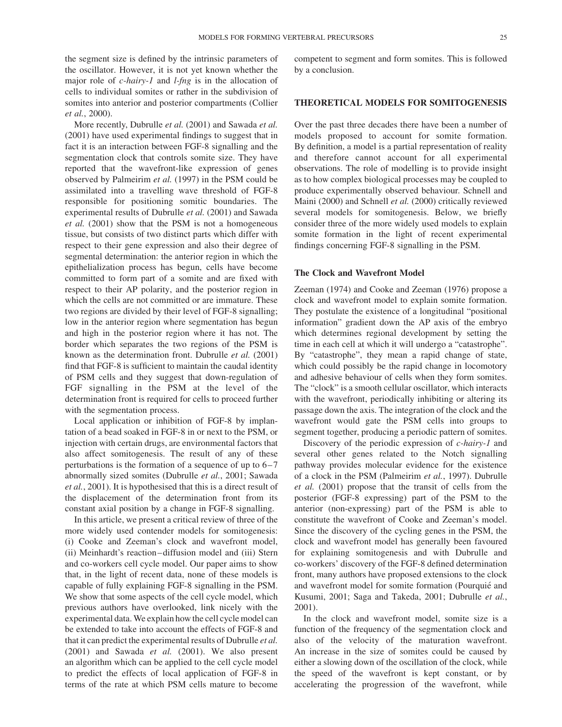the segment size is defined by the intrinsic parameters of the oscillator. However, it is not yet known whether the major role of  $c$ -hairy-1 and l-fng is in the allocation of cells to individual somites or rather in the subdivision of somites into anterior and posterior compartments (Collier et al., 2000).

More recently, Dubrulle et al. (2001) and Sawada et al. (2001) have used experimental findings to suggest that in fact it is an interaction between FGF-8 signalling and the segmentation clock that controls somite size. They have reported that the wavefront-like expression of genes observed by Palmeirim et al. (1997) in the PSM could be assimilated into a travelling wave threshold of FGF-8 responsible for positioning somitic boundaries. The experimental results of Dubrulle et al. (2001) and Sawada et al. (2001) show that the PSM is not a homogeneous tissue, but consists of two distinct parts which differ with respect to their gene expression and also their degree of segmental determination: the anterior region in which the epithelialization process has begun, cells have become committed to form part of a somite and are fixed with respect to their AP polarity, and the posterior region in which the cells are not committed or are immature. These two regions are divided by their level of FGF-8 signalling; low in the anterior region where segmentation has begun and high in the posterior region where it has not. The border which separates the two regions of the PSM is known as the determination front. Dubrulle et al. (2001) find that FGF-8 is sufficient to maintain the caudal identity of PSM cells and they suggest that down-regulation of FGF signalling in the PSM at the level of the determination front is required for cells to proceed further with the segmentation process.

Local application or inhibition of FGF-8 by implantation of a bead soaked in FGF-8 in or next to the PSM, or injection with certain drugs, are environmental factors that also affect somitogenesis. The result of any of these perturbations is the formation of a sequence of up to 6–7 abnormally sized somites (Dubrulle et al., 2001; Sawada et al., 2001). It is hypothesised that this is a direct result of the displacement of the determination front from its constant axial position by a change in FGF-8 signalling.

In this article, we present a critical review of three of the more widely used contender models for somitogenesis: (i) Cooke and Zeeman's clock and wavefront model, (ii) Meinhardt's reaction–diffusion model and (iii) Stern and co-workers cell cycle model. Our paper aims to show that, in the light of recent data, none of these models is capable of fully explaining FGF-8 signalling in the PSM. We show that some aspects of the cell cycle model, which previous authors have overlooked, link nicely with the experimental data. We explain how the cell cycle model can be extended to take into account the effects of FGF-8 and that it can predict the experimental results of Dubrulle et al. (2001) and Sawada et al. (2001). We also present an algorithm which can be applied to the cell cycle model to predict the effects of local application of FGF-8 in terms of the rate at which PSM cells mature to become competent to segment and form somites. This is followed by a conclusion.

## THEORETICAL MODELS FOR SOMITOGENESIS

Over the past three decades there have been a number of models proposed to account for somite formation. By definition, a model is a partial representation of reality and therefore cannot account for all experimental observations. The role of modelling is to provide insight as to how complex biological processes may be coupled to produce experimentally observed behaviour. Schnell and Maini (2000) and Schnell et al. (2000) critically reviewed several models for somitogenesis. Below, we briefly consider three of the more widely used models to explain somite formation in the light of recent experimental findings concerning FGF-8 signalling in the PSM.

## The Clock and Wavefront Model

Zeeman (1974) and Cooke and Zeeman (1976) propose a clock and wavefront model to explain somite formation. They postulate the existence of a longitudinal "positional information" gradient down the AP axis of the embryo which determines regional development by setting the time in each cell at which it will undergo a "catastrophe". By "catastrophe", they mean a rapid change of state, which could possibly be the rapid change in locomotory and adhesive behaviour of cells when they form somites. The "clock" is a smooth cellular oscillator, which interacts with the wavefront, periodically inhibiting or altering its passage down the axis. The integration of the clock and the wavefront would gate the PSM cells into groups to segment together, producing a periodic pattern of somites.

Discovery of the periodic expression of *c*-hairy-1 and several other genes related to the Notch signalling pathway provides molecular evidence for the existence of a clock in the PSM (Palmeirim et al., 1997). Dubrulle et al. (2001) propose that the transit of cells from the posterior (FGF-8 expressing) part of the PSM to the anterior (non-expressing) part of the PSM is able to constitute the wavefront of Cooke and Zeeman's model. Since the discovery of the cycling genes in the PSM, the clock and wavefront model has generally been favoured for explaining somitogenesis and with Dubrulle and co-workers' discovery of the FGF-8 defined determination front, many authors have proposed extensions to the clock and wavefront model for somite formation (Pourquié and Kusumi, 2001; Saga and Takeda, 2001; Dubrulle et al., 2001).

In the clock and wavefront model, somite size is a function of the frequency of the segmentation clock and also of the velocity of the maturation wavefront. An increase in the size of somites could be caused by either a slowing down of the oscillation of the clock, while the speed of the wavefront is kept constant, or by accelerating the progression of the wavefront, while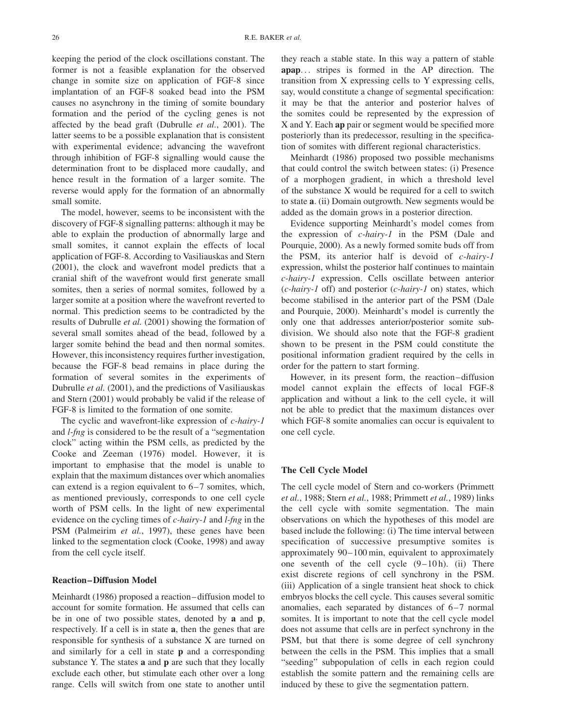keeping the period of the clock oscillations constant. The former is not a feasible explanation for the observed change in somite size on application of FGF-8 since implantation of an FGF-8 soaked bead into the PSM causes no asynchrony in the timing of somite boundary formation and the period of the cycling genes is not affected by the bead graft (Dubrulle et al., 2001). The latter seems to be a possible explanation that is consistent with experimental evidence; advancing the wavefront through inhibition of FGF-8 signalling would cause the determination front to be displaced more caudally, and hence result in the formation of a larger somite. The reverse would apply for the formation of an abnormally small somite.

The model, however, seems to be inconsistent with the discovery of FGF-8 signalling patterns: although it may be able to explain the production of abnormally large and small somites, it cannot explain the effects of local application of FGF-8. According to Vasiliauskas and Stern (2001), the clock and wavefront model predicts that a cranial shift of the wavefront would first generate small somites, then a series of normal somites, followed by a larger somite at a position where the wavefront reverted to normal. This prediction seems to be contradicted by the results of Dubrulle et al. (2001) showing the formation of several small somites ahead of the bead, followed by a larger somite behind the bead and then normal somites. However, this inconsistency requires further investigation, because the FGF-8 bead remains in place during the formation of several somites in the experiments of Dubrulle et al. (2001), and the predictions of Vasiliauskas and Stern (2001) would probably be valid if the release of FGF-8 is limited to the formation of one somite.

The cyclic and wavefront-like expression of *c*-hairy-1 and l-fng is considered to be the result of a "segmentation clock" acting within the PSM cells, as predicted by the Cooke and Zeeman (1976) model. However, it is important to emphasise that the model is unable to explain that the maximum distances over which anomalies can extend is a region equivalent to 6–7 somites, which, as mentioned previously, corresponds to one cell cycle worth of PSM cells. In the light of new experimental evidence on the cycling times of c-hairy-1 and l-fng in the PSM (Palmeirim et al., 1997), these genes have been linked to the segmentation clock (Cooke, 1998) and away from the cell cycle itself.

#### Reaction–Diffusion Model

Meinhardt (1986) proposed a reaction–diffusion model to account for somite formation. He assumed that cells can be in one of two possible states, denoted by a and p, respectively. If a cell is in state a, then the genes that are responsible for synthesis of a substance X are turned on and similarly for a cell in state p and a corresponding substance Y. The states **a** and **p** are such that they locally exclude each other, but stimulate each other over a long range. Cells will switch from one state to another until they reach a stable state. In this way a pattern of stable apap... stripes is formed in the AP direction. The transition from X expressing cells to Y expressing cells, say, would constitute a change of segmental specification: it may be that the anterior and posterior halves of the somites could be represented by the expression of X and Y. Each ap pair or segment would be specified more posteriorly than its predecessor, resulting in the specification of somites with different regional characteristics.

Meinhardt (1986) proposed two possible mechanisms that could control the switch between states: (i) Presence of a morphogen gradient, in which a threshold level of the substance X would be required for a cell to switch to state a. (ii) Domain outgrowth. New segments would be added as the domain grows in a posterior direction.

Evidence supporting Meinhardt's model comes from the expression of c-hairy-1 in the PSM (Dale and Pourquie, 2000). As a newly formed somite buds off from the PSM, its anterior half is devoid of c-hairy-1 expression, whilst the posterior half continues to maintain c-hairy-1 expression. Cells oscillate between anterior (c-hairy-1 off) and posterior (c-hairy-1 on) states, which become stabilised in the anterior part of the PSM (Dale and Pourquie, 2000). Meinhardt's model is currently the only one that addresses anterior/posterior somite subdivision. We should also note that the FGF-8 gradient shown to be present in the PSM could constitute the positional information gradient required by the cells in order for the pattern to start forming.

However, in its present form, the reaction–diffusion model cannot explain the effects of local FGF-8 application and without a link to the cell cycle, it will not be able to predict that the maximum distances over which FGF-8 somite anomalies can occur is equivalent to one cell cycle.

#### The Cell Cycle Model

The cell cycle model of Stern and co-workers (Primmett et al., 1988; Stern et al., 1988; Primmett et al., 1989) links the cell cycle with somite segmentation. The main observations on which the hypotheses of this model are based include the following: (i) The time interval between specification of successive presumptive somites is approximately 90–100 min, equivalent to approximately one seventh of the cell cycle  $(9-10 h)$ . (ii) There exist discrete regions of cell synchrony in the PSM. (iii) Application of a single transient heat shock to chick embryos blocks the cell cycle. This causes several somitic anomalies, each separated by distances of 6–7 normal somites. It is important to note that the cell cycle model does not assume that cells are in perfect synchrony in the PSM, but that there is some degree of cell synchrony between the cells in the PSM. This implies that a small "seeding" subpopulation of cells in each region could establish the somite pattern and the remaining cells are induced by these to give the segmentation pattern.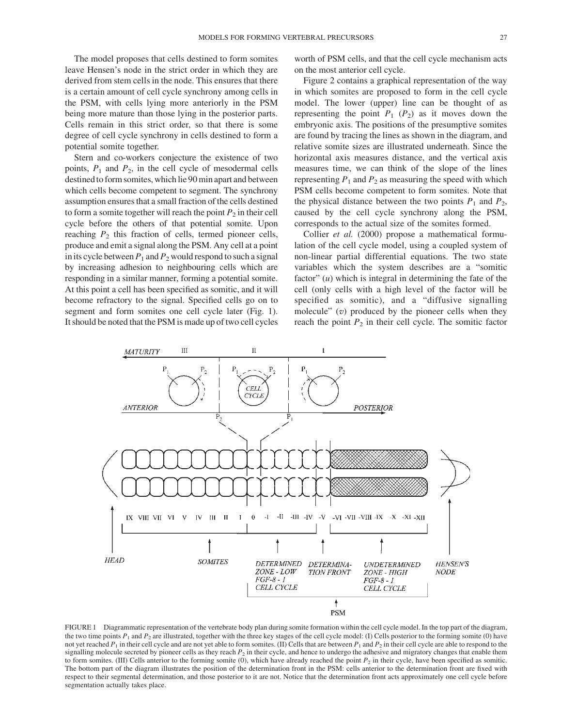The model proposes that cells destined to form somites leave Hensen's node in the strict order in which they are derived from stem cells in the node. This ensures that there is a certain amount of cell cycle synchrony among cells in the PSM, with cells lying more anteriorly in the PSM being more mature than those lying in the posterior parts. Cells remain in this strict order, so that there is some degree of cell cycle synchrony in cells destined to form a potential somite together.

Stern and co-workers conjecture the existence of two points,  $P_1$  and  $P_2$ , in the cell cycle of mesodermal cells destined to form somites, which lie 90 min apart and between which cells become competent to segment. The synchrony assumption ensures that a small fraction of the cells destined to form a somite together will reach the point  $P_2$  in their cell cycle before the others of that potential somite. Upon reaching  $P_2$  this fraction of cells, termed pioneer cells, produce and emit a signal along the PSM. Any cell at a point in its cycle between  $P_1$  and  $P_2$  would respond to such a signal by increasing adhesion to neighbouring cells which are responding in a similar manner, forming a potential somite. At this point a cell has been specified as somitic, and it will become refractory to the signal. Specified cells go on to segment and form somites one cell cycle later (Fig. 1). It should be noted that the PSM is made up of two cell cycles worth of PSM cells, and that the cell cycle mechanism acts on the most anterior cell cycle.

Figure 2 contains a graphical representation of the way in which somites are proposed to form in the cell cycle model. The lower (upper) line can be thought of as representing the point  $P_1$  ( $P_2$ ) as it moves down the embryonic axis. The positions of the presumptive somites are found by tracing the lines as shown in the diagram, and relative somite sizes are illustrated underneath. Since the horizontal axis measures distance, and the vertical axis measures time, we can think of the slope of the lines representing  $P_1$  and  $P_2$  as measuring the speed with which PSM cells become competent to form somites. Note that the physical distance between the two points  $P_1$  and  $P_2$ , caused by the cell cycle synchrony along the PSM, corresponds to the actual size of the somites formed.

Collier *et al.* (2000) propose a mathematical formulation of the cell cycle model, using a coupled system of non-linear partial differential equations. The two state variables which the system describes are a "somitic factor"  $(u)$  which is integral in determining the fate of the cell (only cells with a high level of the factor will be specified as somitic), and a "diffusive signalling molecule"  $(v)$  produced by the pioneer cells when they reach the point  $P_2$  in their cell cycle. The somitic factor



FIGURE 1 Diagrammatic representation of the vertebrate body plan during somite formation within the cell cycle model. In the top part of the diagram, the two time points  $P_1$  and  $P_2$  are illustrated, together with the three key stages of the cell cycle model: (I) Cells posterior to the forming somite (0) have not yet reached  $P_1$  in their cell cycle and are not yet able to form somites. (II) Cells that are between  $P_1$  and  $P_2$  in their cell cycle are able to respond to the signalling molecule secreted by pioneer cells as they reach  $P_2$  in their cycle, and hence to undergo the adhesive and migratory changes that enable them to form somites. (III) Cells anterior to the forming somite (0), which have already reached the point  $P_2$  in their cycle, have been specified as somitic. The bottom part of the diagram illustrates the position of the determination front in the PSM: cells anterior to the determination front are fixed with respect to their segmental determination, and those posterior to it are not. Notice that the determination front acts approximately one cell cycle before segmentation actually takes place.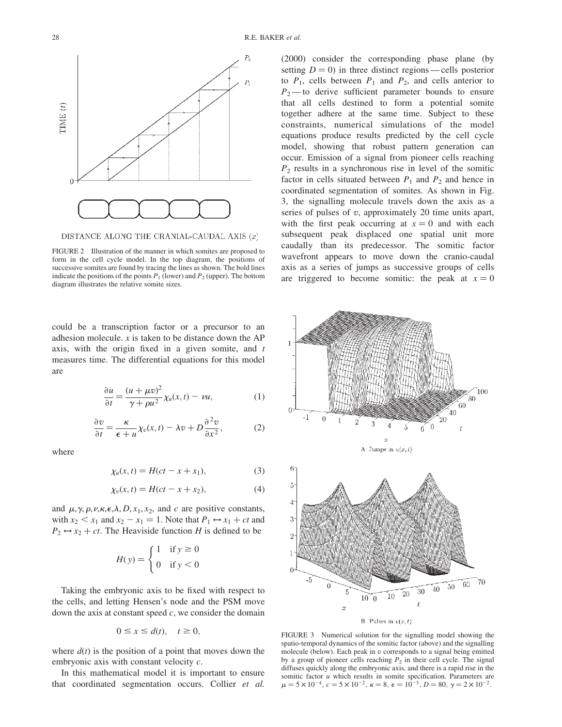

DISTANCE ALONG THE CRANIAL-CAUDAL AXIS  $(x)$ 

FIGURE 2 Illustration of the manner in which somites are proposed to form in the cell cycle model. In the top diagram, the positions of successive somites are found by tracing the lines as shown. The bold lines indicate the positions of the points  $P_1$  (lower) and  $P_2$  (upper). The bottom diagram illustrates the relative somite sizes.

could be a transcription factor or a precursor to an adhesion molecule.  $x$  is taken to be distance down the AP axis, with the origin fixed in a given somite, and  $t$ measures time. The differential equations for this model are

$$
\frac{\partial u}{\partial t} = \frac{(u + \mu v)^2}{\gamma + \rho u^2} \chi_u(x, t) - \nu u,\tag{1}
$$

$$
\frac{\partial v}{\partial t} = \frac{\kappa}{\epsilon + u} \chi_v(x, t) - \lambda v + D \frac{\partial^2 v}{\partial x^2},
$$
 (2)

where

$$
\chi_u(x,t) = H(ct - x + x_1),\tag{3}
$$

$$
\chi_v(x,t) = H(ct - x + x_2),\tag{4}
$$

and  $\mu$ ,  $\gamma$ ,  $\rho$ ,  $\nu$ ,  $\kappa$ ,  $\epsilon$ ,  $\lambda$ ,  $D$ ,  $x_1$ ,  $x_2$ , and c are positive constants, with  $x_2 < x_1$  and  $x_2 - x_1 = 1$ . Note that  $P_1 \leftrightarrow x_1 + ct$  and  $P_2 \leftrightarrow x_2 + ct$ . The Heaviside function H is defined to be

$$
H(y) = \begin{cases} 1 & \text{if } y \ge 0 \\ 0 & \text{if } y < 0 \end{cases}
$$

Taking the embryonic axis to be fixed with respect to the cells, and letting Hensen's node and the PSM move down the axis at constant speed  $c$ , we consider the domain

$$
0 \le x \le d(t), \quad t \ge 0,
$$

where  $d(t)$  is the position of a point that moves down the embryonic axis with constant velocity c.

In this mathematical model it is important to ensure that coordinated segmentation occurs. Collier et al. (2000) consider the corresponding phase plane (by setting  $D = 0$ ) in three distinct regions — cells posterior to  $P_1$ , cells between  $P_1$  and  $P_2$ , and cells anterior to  $P_2$ —to derive sufficient parameter bounds to ensure that all cells destined to form a potential somite together adhere at the same time. Subject to these constraints, numerical simulations of the model equations produce results predicted by the cell cycle model, showing that robust pattern generation can occur. Emission of a signal from pioneer cells reaching  $P_2$  results in a synchronous rise in level of the somitic factor in cells situated between  $P_1$  and  $P_2$  and hence in coordinated segmentation of somites. As shown in Fig. 3, the signalling molecule travels down the axis as a series of pulses of  $v$ , approximately 20 time units apart, with the first peak occurring at  $x = 0$  and with each subsequent peak displaced one spatial unit more caudally than its predecessor. The somitic factor wavefront appears to move down the cranio-caudal axis as a series of jumps as successive groups of cells are triggered to become somitic: the peak at  $x = 0$ 



FIGURE 3 Numerical solution for the signalling model showing the spatio-temporal dynamics of the somitic factor (above) and the signalling molecule (below). Each peak in  $v$  corresponds to a signal being emitted by a group of pioneer cells reaching  $P_2$  in their cell cycle. The signal diffuses quickly along the embryonic axis, and there is a rapid rise in the somitic factor u which results in somite specification. Parameters are  $\mu = 5 \times 10^{-4}$ ,  $c = 5 \times 10^{-2}$ ,  $\kappa = 8$ ,  $\epsilon = 10^{-3}$ ,  $D = 80$ ,  $\gamma = 2 \times 10^{-2}$ .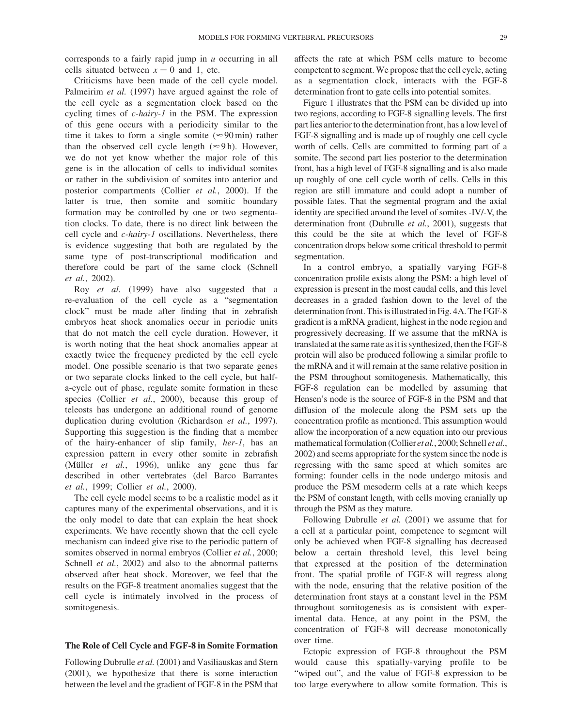corresponds to a fairly rapid jump in  $u$  occurring in all cells situated between  $x = 0$  and 1, etc.

Criticisms have been made of the cell cycle model. Palmeirim *et al.* (1997) have argued against the role of the cell cycle as a segmentation clock based on the cycling times of c-hairy-1 in the PSM. The expression of this gene occurs with a periodicity similar to the time it takes to form a single somite ( $\approx 90 \text{ min}$ ) rather than the observed cell cycle length  $(\approx 9 h)$ . However, we do not yet know whether the major role of this gene is in the allocation of cells to individual somites or rather in the subdivision of somites into anterior and posterior compartments (Collier et al., 2000). If the latter is true, then somite and somitic boundary formation may be controlled by one or two segmentation clocks. To date, there is no direct link between the cell cycle and c-hairy-1 oscillations. Nevertheless, there is evidence suggesting that both are regulated by the same type of post-transcriptional modification and therefore could be part of the same clock (Schnell et al., 2002).

Roy et al. (1999) have also suggested that a re-evaluation of the cell cycle as a "segmentation clock" must be made after finding that in zebrafish embryos heat shock anomalies occur in periodic units that do not match the cell cycle duration. However, it is worth noting that the heat shock anomalies appear at exactly twice the frequency predicted by the cell cycle model. One possible scenario is that two separate genes or two separate clocks linked to the cell cycle, but halfa-cycle out of phase, regulate somite formation in these species (Collier et al., 2000), because this group of teleosts has undergone an additional round of genome duplication during evolution (Richardson et al., 1997). Supporting this suggestion is the finding that a member of the hairy-enhancer of slip family, her-1, has an expression pattern in every other somite in zebrafish (Müller  $et$  al., 1996), unlike any gene thus far described in other vertebrates (del Barco Barrantes et al., 1999; Collier et al., 2000).

The cell cycle model seems to be a realistic model as it captures many of the experimental observations, and it is the only model to date that can explain the heat shock experiments. We have recently shown that the cell cycle mechanism can indeed give rise to the periodic pattern of somites observed in normal embryos (Collier et al., 2000; Schnell *et al.*, 2002) and also to the abnormal patterns observed after heat shock. Moreover, we feel that the results on the FGF-8 treatment anomalies suggest that the cell cycle is intimately involved in the process of somitogenesis.

# The Role of Cell Cycle and FGF-8 in Somite Formation

Following Dubrulle et al. (2001) and Vasiliauskas and Stern (2001), we hypothesize that there is some interaction between the level and the gradient of FGF-8 in the PSM that affects the rate at which PSM cells mature to become competent to segment. We propose that the cell cycle, acting as a segmentation clock, interacts with the FGF-8 determination front to gate cells into potential somites.

Figure 1 illustrates that the PSM can be divided up into two regions, according to FGF-8 signalling levels. The first part lies anterior to the determination front, has a low level of FGF-8 signalling and is made up of roughly one cell cycle worth of cells. Cells are committed to forming part of a somite. The second part lies posterior to the determination front, has a high level of FGF-8 signalling and is also made up roughly of one cell cycle worth of cells. Cells in this region are still immature and could adopt a number of possible fates. That the segmental program and the axial identity are specified around the level of somites -IV/-V, the determination front (Dubrulle *et al.*, 2001), suggests that this could be the site at which the level of FGF-8 concentration drops below some critical threshold to permit segmentation.

In a control embryo, a spatially varying FGF-8 concentration profile exists along the PSM: a high level of expression is present in the most caudal cells, and this level decreases in a graded fashion down to the level of the determination front. This is illustrated in Fig. 4A. The FGF-8 gradient is a mRNA gradient, highest in the node region and progressively decreasing. If we assume that the mRNA is translated at the same rate as it is synthesized, then the FGF-8 protein will also be produced following a similar profile to the mRNA and it will remain at the same relative position in the PSM throughout somitogenesis. Mathematically, this FGF-8 regulation can be modelled by assuming that Hensen's node is the source of FGF-8 in the PSM and that diffusion of the molecule along the PSM sets up the concentration profile as mentioned. This assumption would allow the incorporation of a new equation into our previous mathematical formulation (Collier et al., 2000; Schnell et al., 2002) and seems appropriate for the system since the node is regressing with the same speed at which somites are forming: founder cells in the node undergo mitosis and produce the PSM mesoderm cells at a rate which keeps the PSM of constant length, with cells moving cranially up through the PSM as they mature.

Following Dubrulle et al. (2001) we assume that for a cell at a particular point, competence to segment will only be achieved when FGF-8 signalling has decreased below a certain threshold level, this level being that expressed at the position of the determination front. The spatial profile of FGF-8 will regress along with the node, ensuring that the relative position of the determination front stays at a constant level in the PSM throughout somitogenesis as is consistent with experimental data. Hence, at any point in the PSM, the concentration of FGF-8 will decrease monotonically over time.

Ectopic expression of FGF-8 throughout the PSM would cause this spatially-varying profile to be "wiped out", and the value of FGF-8 expression to be too large everywhere to allow somite formation. This is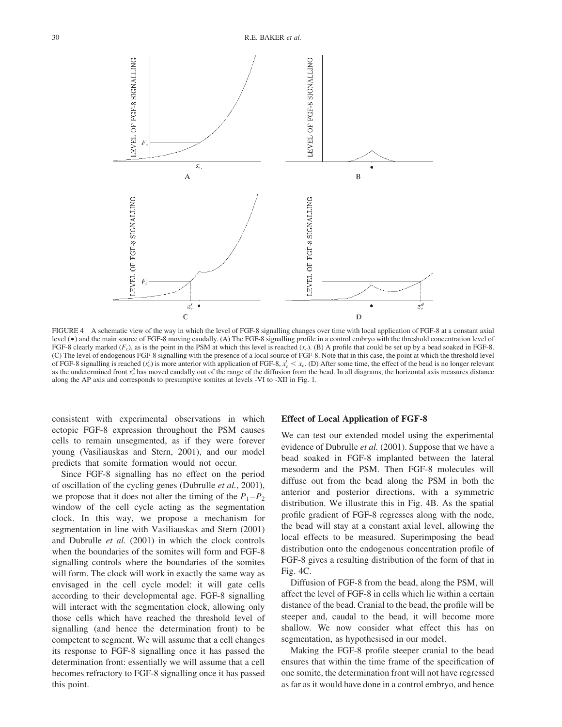

FIGURE 4 A schematic view of the way in which the level of FGF-8 signalling changes over time with local application of FGF-8 at a constant axial level (†) and the main source of FGF-8 moving caudally. (A) The FGF-8 signalling profile in a control embryo with the threshold concentration level of FGF-8 clearly marked ( $F_c$ ), as is the point in the PSM at which this level is reached ( $x_c$ ). (B) A profile that could be set up by a bead soaked in FGF-8. (C) The level of endogenous FGF-8 signalling with the presence of a local source of FGF-8. Note that in this case, the point at which the threshold level of FGF-8 signalling is reached  $(x_c)$  is more anterior with application of FGF-8,  $x_c' < x_c$ . (D) After some time, the effect of the bead is no longer relevant as the undetermined front  $x''_c$  has moved caudally out of the range of the diffusion from the bead. In all diagrams, the horizontal axis measures distance along the AP axis and corresponds to presumptive somites at levels -VI to -XII in Fig. 1.

consistent with experimental observations in which ectopic FGF-8 expression throughout the PSM causes cells to remain unsegmented, as if they were forever young (Vasiliauskas and Stern, 2001), and our model predicts that somite formation would not occur.

Since FGF-8 signalling has no effect on the period of oscillation of the cycling genes (Dubrulle et al., 2001), we propose that it does not alter the timing of the  $P_1 - P_2$ window of the cell cycle acting as the segmentation clock. In this way, we propose a mechanism for segmentation in line with Vasiliauskas and Stern (2001) and Dubrulle et al. (2001) in which the clock controls when the boundaries of the somites will form and FGF-8 signalling controls where the boundaries of the somites will form. The clock will work in exactly the same way as envisaged in the cell cycle model: it will gate cells according to their developmental age. FGF-8 signalling will interact with the segmentation clock, allowing only those cells which have reached the threshold level of signalling (and hence the determination front) to be competent to segment. We will assume that a cell changes its response to FGF-8 signalling once it has passed the determination front: essentially we will assume that a cell becomes refractory to FGF-8 signalling once it has passed this point.

#### Effect of Local Application of FGF-8

We can test our extended model using the experimental evidence of Dubrulle et al. (2001). Suppose that we have a bead soaked in FGF-8 implanted between the lateral mesoderm and the PSM. Then FGF-8 molecules will diffuse out from the bead along the PSM in both the anterior and posterior directions, with a symmetric distribution. We illustrate this in Fig. 4B. As the spatial profile gradient of FGF-8 regresses along with the node, the bead will stay at a constant axial level, allowing the local effects to be measured. Superimposing the bead distribution onto the endogenous concentration profile of FGF-8 gives a resulting distribution of the form of that in Fig. 4C.

Diffusion of FGF-8 from the bead, along the PSM, will affect the level of FGF-8 in cells which lie within a certain distance of the bead. Cranial to the bead, the profile will be steeper and, caudal to the bead, it will become more shallow. We now consider what effect this has on segmentation, as hypothesised in our model.

Making the FGF-8 profile steeper cranial to the bead ensures that within the time frame of the specification of one somite, the determination front will not have regressed as far as it would have done in a control embryo, and hence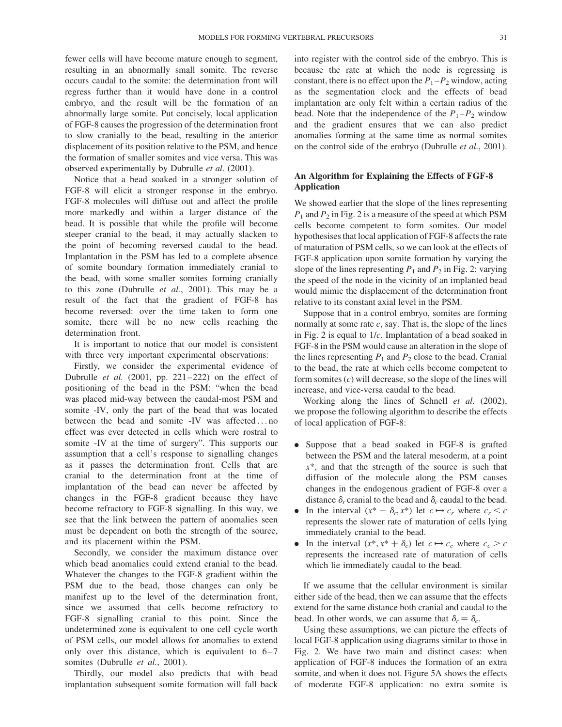fewer cells will have become mature enough to segment, resulting in an abnormally small somite. The reverse occurs caudal to the somite: the determination front will regress further than it would have done in a control embryo, and the result will be the formation of an abnormally large somite. Put concisely, local application of FGF-8 causes the progression of the determination front to slow cranially to the bead, resulting in the anterior displacement of its position relative to the PSM, and hence the formation of smaller somites and vice versa. This was observed experimentally by Dubrulle *et al.* (2001).

Notice that a bead soaked in a stronger solution of FGF-8 will elicit a stronger response in the embryo. FGF-8 molecules will diffuse out and affect the profile more markedly and within a larger distance of the bead. It is possible that while the profile will become steeper cranial to the bead, it may actually slacken to the point of becoming reversed caudal to the bead. Implantation in the PSM has led to a complete absence of somite boundary formation immediately cranial to the bead, with some smaller somites forming cranially to this zone (Dubrulle et al., 2001). This may be a result of the fact that the gradient of FGF-8 has become reversed: over the time taken to form one somite, there will be no new cells reaching the determination front.

It is important to notice that our model is consistent with three very important experimental observations:

Firstly, we consider the experimental evidence of Dubrulle *et al.* (2001, pp.  $221-222$ ) on the effect of positioning of the bead in the PSM: "when the bead was placed mid-way between the caudal-most PSM and somite -IV, only the part of the bead that was located between the bead and somite -IV was affected ... no effect was ever detected in cells which were rostral to somite -IV at the time of surgery". This supports our assumption that a cell's response to signalling changes as it passes the determination front. Cells that are cranial to the determination front at the time of implantation of the bead can never be affected by changes in the FGF-8 gradient because they have become refractory to FGF-8 signalling. In this way, we see that the link between the pattern of anomalies seen must be dependent on both the strength of the source, and its placement within the PSM.

Secondly, we consider the maximum distance over which bead anomalies could extend cranial to the bead. Whatever the changes to the FGF-8 gradient within the PSM due to the bead, those changes can only be manifest up to the level of the determination front, since we assumed that cells become refractory to FGF-8 signalling cranial to this point. Since the undetermined zone is equivalent to one cell cycle worth of PSM cells, our model allows for anomalies to extend only over this distance, which is equivalent to  $6-7$ somites (Dubrulle et al., 2001).

Thirdly, our model also predicts that with bead implantation subsequent somite formation will fall back into register with the control side of the embryo. This is because the rate at which the node is regressing is constant, there is no effect upon the  $P_1 - P_2$  window, acting as the segmentation clock and the effects of bead implantation are only felt within a certain radius of the bead. Note that the independence of the  $P_1 - P_2$  window and the gradient ensures that we can also predict anomalies forming at the same time as normal somites on the control side of the embryo (Dubrulle et al., 2001).

# An Algorithm for Explaining the Effects of FGF-8 Application

We showed earlier that the slope of the lines representing  $P_1$  and  $P_2$  in Fig. 2 is a measure of the speed at which PSM cells become competent to form somites. Our model hypothesises that local application of FGF-8 affects the rate of maturation of PSM cells, so we can look at the effects of FGF-8 application upon somite formation by varying the slope of the lines representing  $P_1$  and  $P_2$  in Fig. 2: varying the speed of the node in the vicinity of an implanted bead would mimic the displacement of the determination front relative to its constant axial level in the PSM.

Suppose that in a control embryo, somites are forming normally at some rate  $c$ , say. That is, the slope of the lines in Fig. 2 is equal to 1/c. Implantation of a bead soaked in FGF-8 in the PSM would cause an alteration in the slope of the lines representing  $P_1$  and  $P_2$  close to the bead. Cranial to the bead, the rate at which cells become competent to form somites  $(c)$  will decrease, so the slope of the lines will increase, and vice-versa caudal to the bead.

Working along the lines of Schnell et al. (2002), we propose the following algorithm to describe the effects of local application of FGF-8:

- . Suppose that a bead soaked in FGF-8 is grafted between the PSM and the lateral mesoderm, at a point  $x^*$ , and that the strength of the source is such that diffusion of the molecule along the PSM causes changes in the endogenous gradient of FGF-8 over a distance  $\delta_r$  cranial to the bead and  $\delta_c$  caudal to the bead.
- In the interval  $(x^* \delta_r, x^*)$  let  $c \mapsto c_r$  where  $c_r < c$ represents the slower rate of maturation of cells lying immediately cranial to the bead.
- In the interval  $(x^*, x^* + \delta_c)$  let  $c \mapsto c_c$  where  $c_c > c$ represents the increased rate of maturation of cells which lie immediately caudal to the bead.

If we assume that the cellular environment is similar either side of the bead, then we can assume that the effects extend for the same distance both cranial and caudal to the bead. In other words, we can assume that  $\delta_r = \delta_c$ .

Using these assumptions, we can picture the effects of local FGF-8 application using diagrams similar to those in Fig. 2. We have two main and distinct cases: when application of FGF-8 induces the formation of an extra somite, and when it does not. Figure 5A shows the effects of moderate FGF-8 application: no extra somite is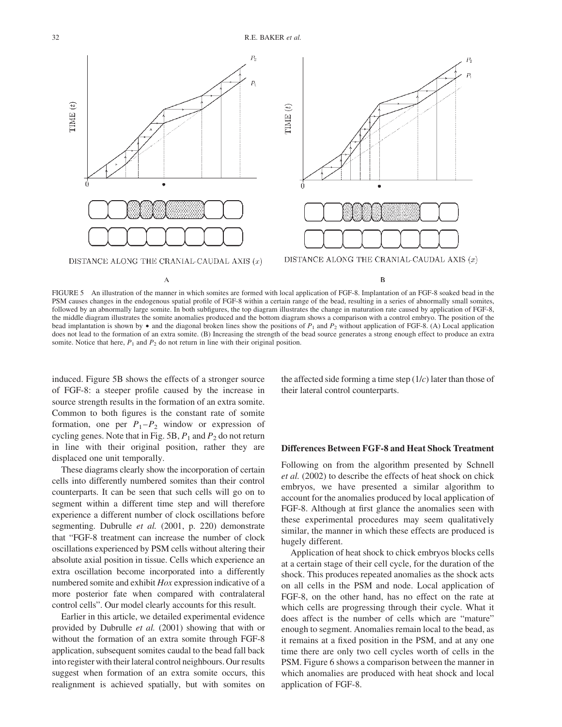

FIGURE 5 An illustration of the manner in which somites are formed with local application of FGF-8. Implantation of an FGF-8 soaked bead in the PSM causes changes in the endogenous spatial profile of FGF-8 within a certain range of the bead, resulting in a series of abnormally small somites, followed by an abnormally large somite. In both subfigures, the top diagram illustrates the change in maturation rate caused by application of FGF-8, the middle diagram illustrates the somite anomalies produced and the bottom diagram shows a comparison with a control embryo. The position of the bead implantation is shown by • and the diagonal broken lines show the positions of  $P_1$  and  $P_2$  without application of FGF-8. (A) Local application does not lead to the formation of an extra somite. (B) Increasing the strength of the bead source generates a strong enough effect to produce an extra somite. Notice that here,  $P_1$  and  $P_2$  do not return in line with their original position.

induced. Figure 5B shows the effects of a stronger source of FGF-8: a steeper profile caused by the increase in source strength results in the formation of an extra somite. Common to both figures is the constant rate of somite formation, one per  $P_1 - P_2$  window or expression of cycling genes. Note that in Fig. 5B,  $P_1$  and  $P_2$  do not return in line with their original position, rather they are displaced one unit temporally.

These diagrams clearly show the incorporation of certain cells into differently numbered somites than their control counterparts. It can be seen that such cells will go on to segment within a different time step and will therefore experience a different number of clock oscillations before segmenting. Dubrulle et al. (2001, p. 220) demonstrate that "FGF-8 treatment can increase the number of clock oscillations experienced by PSM cells without altering their absolute axial position in tissue. Cells which experience an extra oscillation become incorporated into a differently numbered somite and exhibit Hox expression indicative of a more posterior fate when compared with contralateral control cells". Our model clearly accounts for this result.

Earlier in this article, we detailed experimental evidence provided by Dubrulle et al. (2001) showing that with or without the formation of an extra somite through FGF-8 application, subsequent somites caudal to the bead fall back into register with their lateral control neighbours. Our results suggest when formation of an extra somite occurs, this realignment is achieved spatially, but with somites on the affected side forming a time step  $(1/c)$  later than those of their lateral control counterparts.

## Differences Between FGF-8 and Heat Shock Treatment

Following on from the algorithm presented by Schnell et al. (2002) to describe the effects of heat shock on chick embryos, we have presented a similar algorithm to account for the anomalies produced by local application of FGF-8. Although at first glance the anomalies seen with these experimental procedures may seem qualitatively similar, the manner in which these effects are produced is hugely different.

Application of heat shock to chick embryos blocks cells at a certain stage of their cell cycle, for the duration of the shock. This produces repeated anomalies as the shock acts on all cells in the PSM and node. Local application of FGF-8, on the other hand, has no effect on the rate at which cells are progressing through their cycle. What it does affect is the number of cells which are "mature" enough to segment. Anomalies remain local to the bead, as it remains at a fixed position in the PSM, and at any one time there are only two cell cycles worth of cells in the PSM. Figure 6 shows a comparison between the manner in which anomalies are produced with heat shock and local application of FGF-8.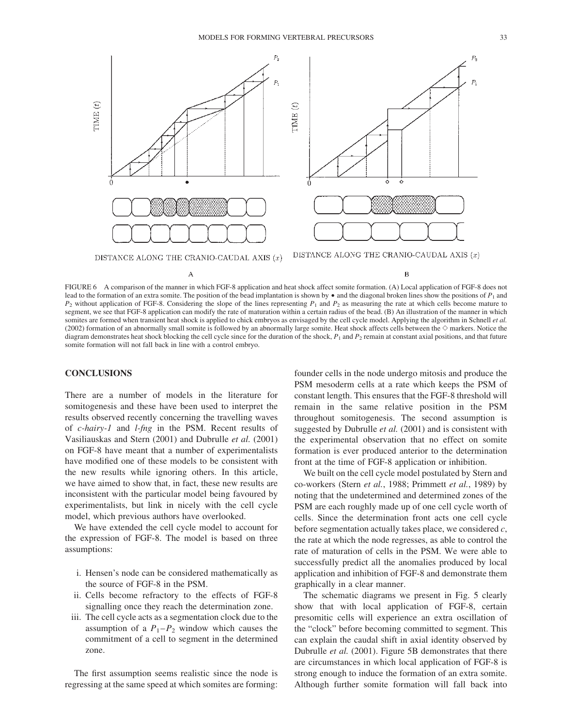

FIGURE 6 A comparison of the manner in which FGF-8 application and heat shock affect somite formation. (A) Local application of FGF-8 does not lead to the formation of an extra somite. The position of the bead implantation is shown by  $\bullet$  and the diagonal broken lines show the positions of  $P_1$  and  $P_2$  without application of FGF-8. Considering the slope of the lines representing  $P_1$  and  $P_2$  as measuring the rate at which cells become mature to segment, we see that FGF-8 application can modify the rate of maturation within a certain radius of the bead. (B) An illustration of the manner in which somites are formed when transient heat shock is applied to chick embryos as envisaged by the cell cycle model. Applying the algorithm in Schnell et al. (2002) formation of an abnormally small somite is followed by an abnormally large somite. Heat shock affects cells between the  $\diamond$  markers. Notice the diagram demonstrates heat shock blocking the cell cycle since for the duration of the shock,  $P_1$  and  $P_2$  remain at constant axial positions, and that future somite formation will not fall back in line with a control embryo.

# **CONCLUSIONS**

There are a number of models in the literature for somitogenesis and these have been used to interpret the results observed recently concerning the travelling waves of c-hairy-1 and l-fng in the PSM. Recent results of Vasiliauskas and Stern (2001) and Dubrulle et al. (2001) on FGF-8 have meant that a number of experimentalists have modified one of these models to be consistent with the new results while ignoring others. In this article, we have aimed to show that, in fact, these new results are inconsistent with the particular model being favoured by experimentalists, but link in nicely with the cell cycle model, which previous authors have overlooked.

We have extended the cell cycle model to account for the expression of FGF-8. The model is based on three assumptions:

- i. Hensen's node can be considered mathematically as the source of FGF-8 in the PSM.
- ii. Cells become refractory to the effects of FGF-8 signalling once they reach the determination zone.
- iii. The cell cycle acts as a segmentation clock due to the assumption of a  $P_1 - P_2$  window which causes the commitment of a cell to segment in the determined zone.

The first assumption seems realistic since the node is regressing at the same speed at which somites are forming: founder cells in the node undergo mitosis and produce the PSM mesoderm cells at a rate which keeps the PSM of constant length. This ensures that the FGF-8 threshold will remain in the same relative position in the PSM throughout somitogenesis. The second assumption is suggested by Dubrulle et al. (2001) and is consistent with the experimental observation that no effect on somite formation is ever produced anterior to the determination front at the time of FGF-8 application or inhibition.

We built on the cell cycle model postulated by Stern and co-workers (Stern et al., 1988; Primmett et al., 1989) by noting that the undetermined and determined zones of the PSM are each roughly made up of one cell cycle worth of cells. Since the determination front acts one cell cycle before segmentation actually takes place, we considered  $c$ , the rate at which the node regresses, as able to control the rate of maturation of cells in the PSM. We were able to successfully predict all the anomalies produced by local application and inhibition of FGF-8 and demonstrate them graphically in a clear manner.

The schematic diagrams we present in Fig. 5 clearly show that with local application of FGF-8, certain presomitic cells will experience an extra oscillation of the "clock" before becoming committed to segment. This can explain the caudal shift in axial identity observed by Dubrulle et al. (2001). Figure 5B demonstrates that there are circumstances in which local application of FGF-8 is strong enough to induce the formation of an extra somite. Although further somite formation will fall back into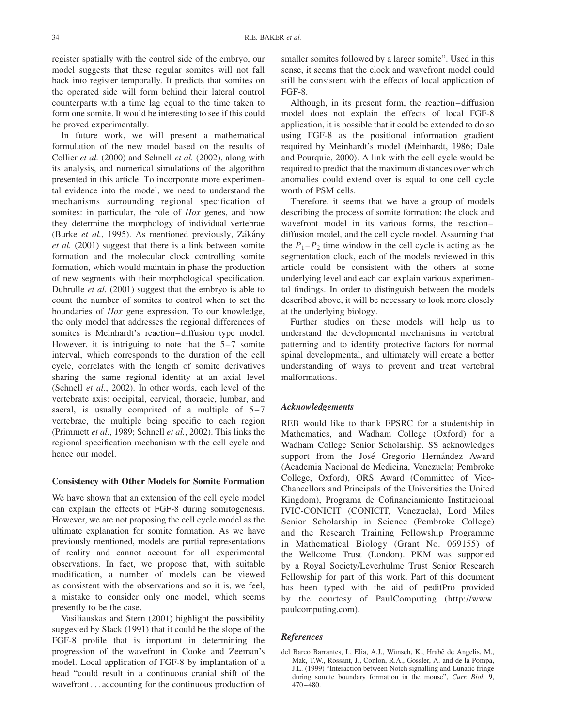register spatially with the control side of the embryo, our model suggests that these regular somites will not fall back into register temporally. It predicts that somites on the operated side will form behind their lateral control counterparts with a time lag equal to the time taken to form one somite. It would be interesting to see if this could be proved experimentally.

In future work, we will present a mathematical formulation of the new model based on the results of Collier et al. (2000) and Schnell et al. (2002), along with its analysis, and numerical simulations of the algorithm presented in this article. To incorporate more experimental evidence into the model, we need to understand the mechanisms surrounding regional specification of somites: in particular, the role of *Hox* genes, and how they determine the morphology of individual vertebrae (Burke *et al.*, 1995). As mentioned previously,  $Zákány$ et al. (2001) suggest that there is a link between somite formation and the molecular clock controlling somite formation, which would maintain in phase the production of new segments with their morphological specification. Dubrulle et al. (2001) suggest that the embryo is able to count the number of somites to control when to set the boundaries of Hox gene expression. To our knowledge, the only model that addresses the regional differences of somites is Meinhardt's reaction–diffusion type model. However, it is intriguing to note that the  $5-7$  somite interval, which corresponds to the duration of the cell cycle, correlates with the length of somite derivatives sharing the same regional identity at an axial level (Schnell et al., 2002). In other words, each level of the vertebrate axis: occipital, cervical, thoracic, lumbar, and sacral, is usually comprised of a multiple of  $5-7$ vertebrae, the multiple being specific to each region (Primmett et al., 1989; Schnell et al., 2002). This links the regional specification mechanism with the cell cycle and hence our model.

#### Consistency with Other Models for Somite Formation

We have shown that an extension of the cell cycle model can explain the effects of FGF-8 during somitogenesis. However, we are not proposing the cell cycle model as the ultimate explanation for somite formation. As we have previously mentioned, models are partial representations of reality and cannot account for all experimental observations. In fact, we propose that, with suitable modification, a number of models can be viewed as consistent with the observations and so it is, we feel, a mistake to consider only one model, which seems presently to be the case.

Vasiliauskas and Stern (2001) highlight the possibility suggested by Slack (1991) that it could be the slope of the FGF-8 profile that is important in determining the progression of the wavefront in Cooke and Zeeman's model. Local application of FGF-8 by implantation of a bead "could result in a continuous cranial shift of the wavefront ... accounting for the continuous production of smaller somites followed by a larger somite". Used in this sense, it seems that the clock and wavefront model could still be consistent with the effects of local application of FGF-8.

Although, in its present form, the reaction–diffusion model does not explain the effects of local FGF-8 application, it is possible that it could be extended to do so using FGF-8 as the positional information gradient required by Meinhardt's model (Meinhardt, 1986; Dale and Pourquie, 2000). A link with the cell cycle would be required to predict that the maximum distances over which anomalies could extend over is equal to one cell cycle worth of PSM cells.

Therefore, it seems that we have a group of models describing the process of somite formation: the clock and wavefront model in its various forms, the reaction– diffusion model, and the cell cycle model. Assuming that the  $P_1 - P_2$  time window in the cell cycle is acting as the segmentation clock, each of the models reviewed in this article could be consistent with the others at some underlying level and each can explain various experimental findings. In order to distinguish between the models described above, it will be necessary to look more closely at the underlying biology.

Further studies on these models will help us to understand the developmental mechanisms in vertebral patterning and to identify protective factors for normal spinal developmental, and ultimately will create a better understanding of ways to prevent and treat vertebral malformations.

#### Acknowledgements

REB would like to thank EPSRC for a studentship in Mathematics, and Wadham College (Oxford) for a Wadham College Senior Scholarship. SS acknowledges support from the José Gregorio Hernández Award (Academia Nacional de Medicina, Venezuela; Pembroke College, Oxford), ORS Award (Committee of Vice-Chancellors and Principals of the Universities the United Kingdom), Programa de Cofinanciamiento Institucional IVIC-CONICIT (CONICIT, Venezuela), Lord Miles Senior Scholarship in Science (Pembroke College) and the Research Training Fellowship Programme in Mathematical Biology (Grant No. 069155) of the Wellcome Trust (London). PKM was supported by a Royal Society/Leverhulme Trust Senior Research Fellowship for part of this work. Part of this document has been typed with the aid of peditPro provided by the courtesy of PaulComputing (http://www. paulcomputing.com).

## References

del Barco Barrantes, I., Elia, A.J., Wünsch, K., Hrabě de Angelis, M., Mak, T.W., Rossant, J., Conlon, R.A., Gossler, A. and de la Pompa, J.L. (1999) "Interaction between Notch signalling and Lunatic fringe during somite boundary formation in the mouse", Curr. Biol. 9, 470–480.